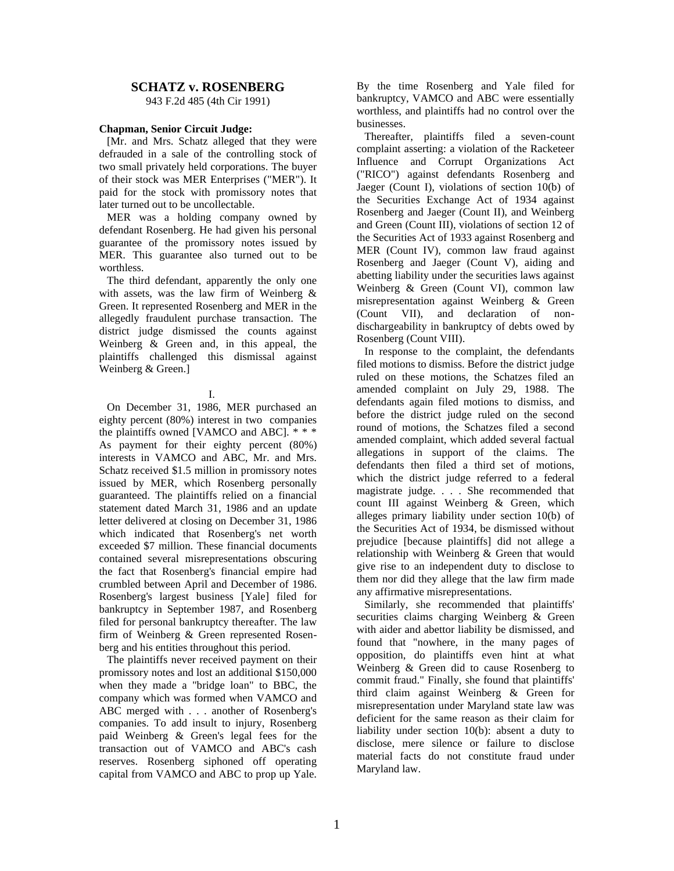#### **SCHATZ v. ROSENBERG**

943 F.2d 485 (4th Cir 1991)

### **Chapman, Senior Circuit Judge:**

[Mr. and Mrs. Schatz alleged that they were defrauded in a sale of the controlling stock of two small privately held corporations. The buyer of their stock was MER Enterprises ("MER"). It paid for the stock with promissory notes that later turned out to be uncollectable.

MER was a holding company owned by defendant Rosenberg. He had given his personal guarantee of the promissory notes issued by MER. This guarantee also turned out to be worthless.

The third defendant, apparently the only one with assets, was the law firm of Weinberg & Green. It represented Rosenberg and MER in the allegedly fraudulent purchase transaction. The district judge dismissed the counts against Weinberg & Green and, in this appeal, the plaintiffs challenged this dismissal against Weinberg & Green.]

#### I.

On December 31, 1986, MER purchased an eighty percent (80%) interest in two companies the plaintiffs owned [VAMCO and ABC]. \* \* \* As payment for their eighty percent (80%) interests in VAMCO and ABC, Mr. and Mrs. Schatz received \$1.5 million in promissory notes issued by MER, which Rosenberg personally guaranteed. The plaintiffs relied on a financial statement dated March 31, 1986 and an update letter delivered at closing on December 31, 1986 which indicated that Rosenberg's net worth exceeded \$7 million. These financial documents contained several misrepresentations obscuring the fact that Rosenberg's financial empire had crumbled between April and December of 1986. Rosenberg's largest business [Yale] filed for bankruptcy in September 1987, and Rosenberg filed for personal bankruptcy thereafter. The law firm of Weinberg & Green represented Rosenberg and his entities throughout this period.

The plaintiffs never received payment on their promissory notes and lost an additional \$150,000 when they made a "bridge loan" to BBC, the company which was formed when VAMCO and ABC merged with . . . another of Rosenberg's companies. To add insult to injury, Rosenberg paid Weinberg & Green's legal fees for the transaction out of VAMCO and ABC's cash reserves. Rosenberg siphoned off operating capital from VAMCO and ABC to prop up Yale.

By the time Rosenberg and Yale filed for bankruptcy, VAMCO and ABC were essentially worthless, and plaintiffs had no control over the businesses.

Thereafter, plaintiffs filed a seven-count complaint asserting: a violation of the Racketeer Influence and Corrupt Organizations Act ("RICO") against defendants Rosenberg and Jaeger (Count I), violations of section 10(b) of the Securities Exchange Act of 1934 against Rosenberg and Jaeger (Count II), and Weinberg and Green (Count III), violations of section 12 of the Securities Act of 1933 against Rosenberg and MER (Count IV), common law fraud against Rosenberg and Jaeger (Count V), aiding and abetting liability under the securities laws against Weinberg & Green (Count VI), common law misrepresentation against Weinberg & Green (Count VII), and declaration of nondischargeability in bankruptcy of debts owed by Rosenberg (Count VIII).

In response to the complaint, the defendants filed motions to dismiss. Before the district judge ruled on these motions, the Schatzes filed an amended complaint on July 29, 1988. The defendants again filed motions to dismiss, and before the district judge ruled on the second round of motions, the Schatzes filed a second amended complaint, which added several factual allegations in support of the claims. The defendants then filed a third set of motions, which the district judge referred to a federal magistrate judge. . . . She recommended that count III against Weinberg & Green, which alleges primary liability under section 10(b) of the Securities Act of 1934, be dismissed without prejudice [because plaintiffs] did not allege a relationship with Weinberg & Green that would give rise to an independent duty to disclose to them nor did they allege that the law firm made any affirmative misrepresentations.

Similarly, she recommended that plaintiffs' securities claims charging Weinberg & Green with aider and abettor liability be dismissed, and found that "nowhere, in the many pages of opposition, do plaintiffs even hint at what Weinberg & Green did to cause Rosenberg to commit fraud." Finally, she found that plaintiffs' third claim against Weinberg & Green for misrepresentation under Maryland state law was deficient for the same reason as their claim for liability under section 10(b): absent a duty to disclose, mere silence or failure to disclose material facts do not constitute fraud under Maryland law.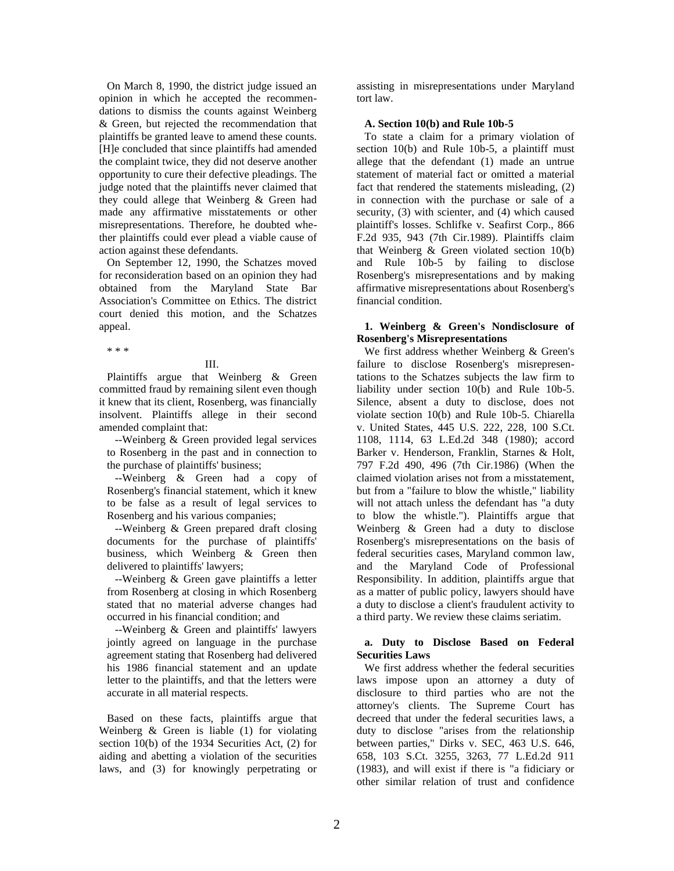On March 8, 1990, the district judge issued an opinion in which he accepted the recommendations to dismiss the counts against Weinberg & Green, but rejected the recommendation that plaintiffs be granted leave to amend these counts. [H]e concluded that since plaintiffs had amended the complaint twice, they did not deserve another opportunity to cure their defective pleadings. The judge noted that the plaintiffs never claimed that they could allege that Weinberg & Green had made any affirmative misstatements or other misrepresentations. Therefore, he doubted whether plaintiffs could ever plead a viable cause of action against these defendants.

On September 12, 1990, the Schatzes moved for reconsideration based on an opinion they had obtained from the Maryland State Bar Association's Committee on Ethics. The district court denied this motion, and the Schatzes appeal.

\* \* \*

#### III.

Plaintiffs argue that Weinberg & Green committed fraud by remaining silent even though it knew that its client, Rosenberg, was financially insolvent. Plaintiffs allege in their second amended complaint that:

--Weinberg & Green provided legal services to Rosenberg in the past and in connection to the purchase of plaintiffs' business;

--Weinberg & Green had a copy of Rosenberg's financial statement, which it knew to be false as a result of legal services to Rosenberg and his various companies;

--Weinberg & Green prepared draft closing documents for the purchase of plaintiffs' business, which Weinberg & Green then delivered to plaintiffs' lawyers;

--Weinberg & Green gave plaintiffs a letter from Rosenberg at closing in which Rosenberg stated that no material adverse changes had occurred in his financial condition; and

--Weinberg & Green and plaintiffs' lawyers jointly agreed on language in the purchase agreement stating that Rosenberg had delivered his 1986 financial statement and an update letter to the plaintiffs, and that the letters were accurate in all material respects.

Based on these facts, plaintiffs argue that Weinberg & Green is liable (1) for violating section 10(b) of the 1934 Securities Act, (2) for aiding and abetting a violation of the securities laws, and (3) for knowingly perpetrating or

assisting in misrepresentations under Maryland tort law.

### **A. Section 10(b) and Rule 10b-5**

To state a claim for a primary violation of section 10(b) and Rule 10b-5, a plaintiff must allege that the defendant (1) made an untrue statement of material fact or omitted a material fact that rendered the statements misleading, (2) in connection with the purchase or sale of a security, (3) with scienter, and (4) which caused plaintiff's losses. Schlifke v. Seafirst Corp., 866 F.2d 935, 943 (7th Cir.1989). Plaintiffs claim that Weinberg & Green violated section 10(b) and Rule 10b-5 by failing to disclose Rosenberg's misrepresentations and by making affirmative misrepresentations about Rosenberg's financial condition.

### **1. Weinberg & Green's Nondisclosure of Rosenberg's Misrepresentations**

We first address whether Weinberg & Green's failure to disclose Rosenberg's misrepresentations to the Schatzes subjects the law firm to liability under section 10(b) and Rule 10b-5. Silence, absent a duty to disclose, does not violate section 10(b) and Rule 10b-5. Chiarella v. United States, 445 U.S. 222, 228, 100 S.Ct. 1108, 1114, 63 L.Ed.2d 348 (1980); accord Barker v. Henderson, Franklin, Starnes & Holt, 797 F.2d 490, 496 (7th Cir.1986) (When the claimed violation arises not from a misstatement, but from a "failure to blow the whistle," liability will not attach unless the defendant has "a duty to blow the whistle."). Plaintiffs argue that Weinberg & Green had a duty to disclose Rosenberg's misrepresentations on the basis of federal securities cases, Maryland common law, and the Maryland Code of Professional Responsibility. In addition, plaintiffs argue that as a matter of public policy, lawyers should have a duty to disclose a client's fraudulent activity to a third party. We review these claims seriatim.

# **a. Duty to Disclose Based on Federal Securities Laws**

We first address whether the federal securities laws impose upon an attorney a duty of disclosure to third parties who are not the attorney's clients. The Supreme Court has decreed that under the federal securities laws, a duty to disclose "arises from the relationship between parties," Dirks v. SEC, 463 U.S. 646, 658, 103 S.Ct. 3255, 3263, 77 L.Ed.2d 911 (1983), and will exist if there is "a fidiciary or other similar relation of trust and confidence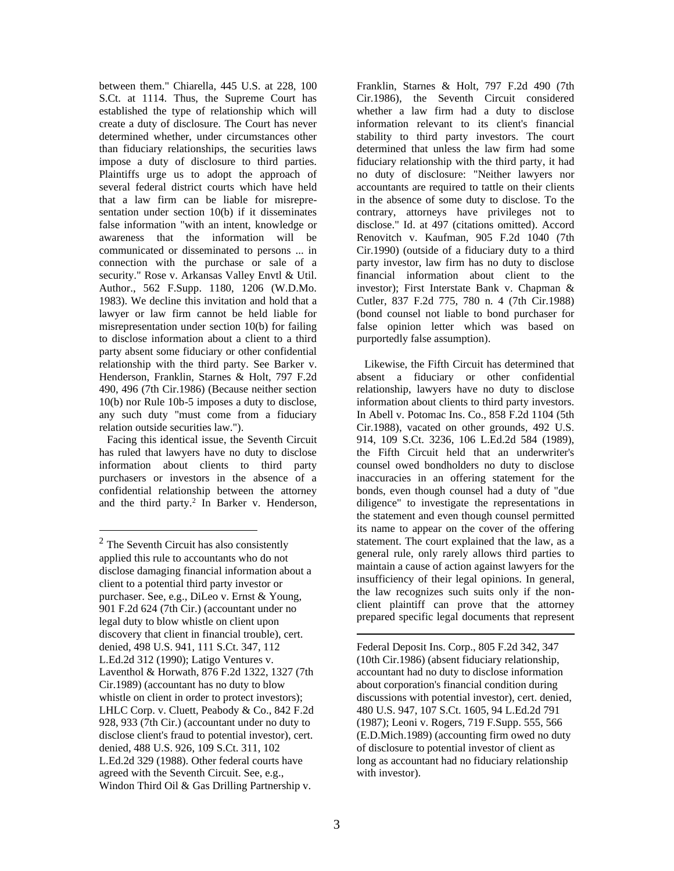between them." Chiarella, 445 U.S. at 228, 100 S.Ct. at 1114. Thus, the Supreme Court has established the type of relationship which will create a duty of disclosure. The Court has never determined whether, under circumstances other than fiduciary relationships, the securities laws impose a duty of disclosure to third parties. Plaintiffs urge us to adopt the approach of several federal district courts which have held that a law firm can be liable for misrepresentation under section 10(b) if it disseminates false information "with an intent, knowledge or awareness that the information will be communicated or disseminated to persons ... in connection with the purchase or sale of a security." Rose v. Arkansas Valley Envtl & Util. Author., 562 F.Supp. 1180, 1206 (W.D.Mo. 1983). We decline this invitation and hold that a lawyer or law firm cannot be held liable for misrepresentation under section 10(b) for failing to disclose information about a client to a third party absent some fiduciary or other confidential relationship with the third party. See Barker v. Henderson, Franklin, Starnes & Holt, 797 F.2d 490, 496 (7th Cir.1986) (Because neither section 10(b) nor Rule 10b-5 imposes a duty to disclose, any such duty "must come from a fiduciary relation outside securities law.").

Facing this identical issue, the Seventh Circuit has ruled that lawyers have no duty to disclose information about clients to third party purchasers or investors in the absence of a confidential relationship between the attorney and the third party.<sup>2</sup> In Barker v. Henderson, Franklin, Starnes & Holt, 797 F.2d 490 (7th Cir.1986), the Seventh Circuit considered whether a law firm had a duty to disclose information relevant to its client's financial stability to third party investors. The court determined that unless the law firm had some fiduciary relationship with the third party, it had no duty of disclosure: "Neither lawyers nor accountants are required to tattle on their clients in the absence of some duty to disclose. To the contrary, attorneys have privileges not to disclose." Id. at 497 (citations omitted). Accord Renovitch v. Kaufman, 905 F.2d 1040 (7th Cir.1990) (outside of a fiduciary duty to a third party investor, law firm has no duty to disclose financial information about client to the investor); First Interstate Bank v. Chapman & Cutler, 837 F.2d 775, 780 n. 4 (7th Cir.1988) (bond counsel not liable to bond purchaser for false opinion letter which was based on purportedly false assumption).

Likewise, the Fifth Circuit has determined that absent a fiduciary or other confidential relationship, lawyers have no duty to disclose information about clients to third party investors. In Abell v. Potomac Ins. Co., 858 F.2d 1104 (5th Cir.1988), vacated on other grounds, 492 U.S. 914, 109 S.Ct. 3236, 106 L.Ed.2d 584 (1989), the Fifth Circuit held that an underwriter's counsel owed bondholders no duty to disclose inaccuracies in an offering statement for the bonds, even though counsel had a duty of "due diligence" to investigate the representations in the statement and even though counsel permitted its name to appear on the cover of the offering statement. The court explained that the law, as a general rule, only rarely allows third parties to maintain a cause of action against lawyers for the insufficiency of their legal opinions. In general, the law recognizes such suits only if the nonclient plaintiff can prove that the attorney prepared specific legal documents that represent

Federal Deposit Ins. Corp., 805 F.2d 342, 347 (10th Cir.1986) (absent fiduciary relationship, accountant had no duty to disclose information about corporation's financial condition during discussions with potential investor), cert. denied, 480 U.S. 947, 107 S.Ct. 1605, 94 L.Ed.2d 791 (1987); Leoni v. Rogers, 719 F.Supp. 555, 566 (E.D.Mich.1989) (accounting firm owed no duty of disclosure to potential investor of client as long as accountant had no fiduciary relationship with investor).

 $<sup>2</sup>$  The Seventh Circuit has also consistently</sup> applied this rule to accountants who do not disclose damaging financial information about a client to a potential third party investor or purchaser. See, e.g., DiLeo v. Ernst & Young, 901 F.2d 624 (7th Cir.) (accountant under no legal duty to blow whistle on client upon discovery that client in financial trouble), cert. denied, 498 U.S. 941, 111 S.Ct. 347, 112 L.Ed.2d 312 (1990); Latigo Ventures v. Laventhol & Horwath, 876 F.2d 1322, 1327 (7th Cir.1989) (accountant has no duty to blow whistle on client in order to protect investors): LHLC Corp. v. Cluett, Peabody & Co., 842 F.2d 928, 933 (7th Cir.) (accountant under no duty to disclose client's fraud to potential investor), cert. denied, 488 U.S. 926, 109 S.Ct. 311, 102 L.Ed.2d 329 (1988). Other federal courts have agreed with the Seventh Circuit. See, e.g., Windon Third Oil & Gas Drilling Partnership v.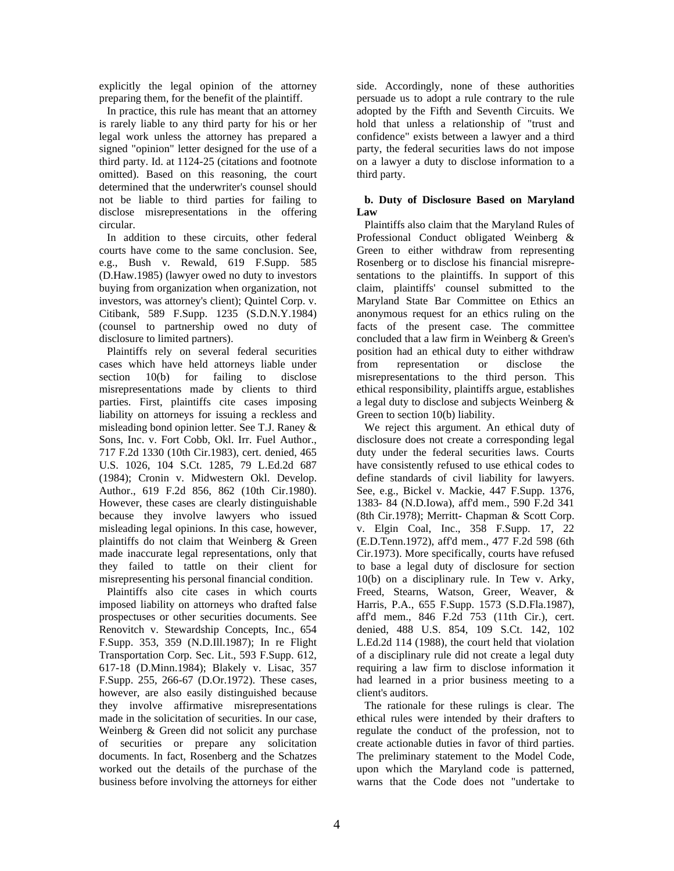explicitly the legal opinion of the attorney preparing them, for the benefit of the plaintiff.

In practice, this rule has meant that an attorney is rarely liable to any third party for his or her legal work unless the attorney has prepared a signed "opinion" letter designed for the use of a third party. Id. at 1124-25 (citations and footnote omitted). Based on this reasoning, the court determined that the underwriter's counsel should not be liable to third parties for failing to disclose misrepresentations in the offering circular.

In addition to these circuits, other federal courts have come to the same conclusion. See, e.g., Bush v. Rewald, 619 F.Supp. 585 (D.Haw.1985) (lawyer owed no duty to investors buying from organization when organization, not investors, was attorney's client); Quintel Corp. v. Citibank, 589 F.Supp. 1235 (S.D.N.Y.1984) (counsel to partnership owed no duty of disclosure to limited partners).

Plaintiffs rely on several federal securities cases which have held attorneys liable under section 10(b) for failing to disclose misrepresentations made by clients to third parties. First, plaintiffs cite cases imposing liability on attorneys for issuing a reckless and misleading bond opinion letter. See T.J. Raney & Sons, Inc. v. Fort Cobb, Okl. Irr. Fuel Author., 717 F.2d 1330 (10th Cir.1983), cert. denied, 465 U.S. 1026, 104 S.Ct. 1285, 79 L.Ed.2d 687 (1984); Cronin v. Midwestern Okl. Develop. Author., 619 F.2d 856, 862 (10th Cir.1980). However, these cases are clearly distinguishable because they involve lawyers who issued misleading legal opinions. In this case, however, plaintiffs do not claim that Weinberg & Green made inaccurate legal representations, only that they failed to tattle on their client for misrepresenting his personal financial condition.

Plaintiffs also cite cases in which courts imposed liability on attorneys who drafted false prospectuses or other securities documents. See Renovitch v. Stewardship Concepts, Inc., 654 F.Supp. 353, 359 (N.D.Ill.1987); In re Flight Transportation Corp. Sec. Lit., 593 F.Supp. 612, 617-18 (D.Minn.1984); Blakely v. Lisac, 357 F.Supp. 255, 266-67 (D.Or.1972). These cases, however, are also easily distinguished because they involve affirmative misrepresentations made in the solicitation of securities. In our case, Weinberg & Green did not solicit any purchase of securities or prepare any solicitation documents. In fact, Rosenberg and the Schatzes worked out the details of the purchase of the business before involving the attorneys for either side. Accordingly, none of these authorities persuade us to adopt a rule contrary to the rule adopted by the Fifth and Seventh Circuits. We hold that unless a relationship of "trust and confidence" exists between a lawyer and a third party, the federal securities laws do not impose on a lawyer a duty to disclose information to a third party.

# **b. Duty of Disclosure Based on Maryland Law**

Plaintiffs also claim that the Maryland Rules of Professional Conduct obligated Weinberg & Green to either withdraw from representing Rosenberg or to disclose his financial misrepresentations to the plaintiffs. In support of this claim, plaintiffs' counsel submitted to the Maryland State Bar Committee on Ethics an anonymous request for an ethics ruling on the facts of the present case. The committee concluded that a law firm in Weinberg & Green's position had an ethical duty to either withdraw from representation or disclose the misrepresentations to the third person. This ethical responsibility, plaintiffs argue, establishes a legal duty to disclose and subjects Weinberg & Green to section 10(b) liability.

We reject this argument. An ethical duty of disclosure does not create a corresponding legal duty under the federal securities laws. Courts have consistently refused to use ethical codes to define standards of civil liability for lawyers. See, e.g., Bickel v. Mackie, 447 F.Supp. 1376, 1383- 84 (N.D.Iowa), aff'd mem., 590 F.2d 341 (8th Cir.1978); Merritt- Chapman & Scott Corp. v. Elgin Coal, Inc., 358 F.Supp. 17, 22 (E.D.Tenn.1972), aff'd mem., 477 F.2d 598 (6th Cir.1973). More specifically, courts have refused to base a legal duty of disclosure for section 10(b) on a disciplinary rule. In Tew v. Arky, Freed, Stearns, Watson, Greer, Weaver, & Harris, P.A., 655 F.Supp. 1573 (S.D.Fla.1987), aff'd mem., 846 F.2d 753 (11th Cir.), cert. denied, 488 U.S. 854, 109 S.Ct. 142, 102 L.Ed.2d 114 (1988), the court held that violation of a disciplinary rule did not create a legal duty requiring a law firm to disclose information it had learned in a prior business meeting to a client's auditors.

The rationale for these rulings is clear. The ethical rules were intended by their drafters to regulate the conduct of the profession, not to create actionable duties in favor of third parties. The preliminary statement to the Model Code, upon which the Maryland code is patterned, warns that the Code does not "undertake to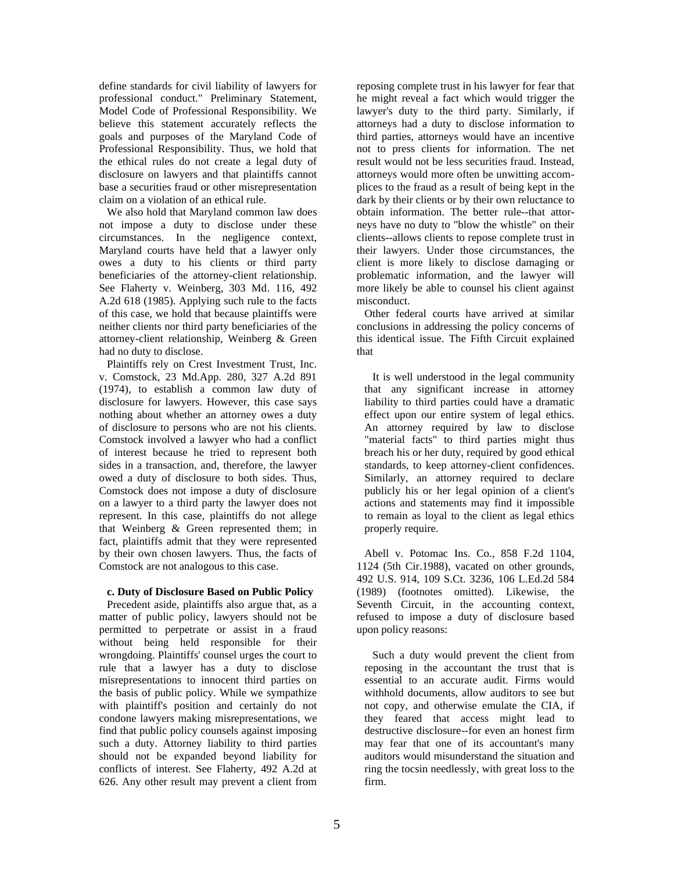define standards for civil liability of lawyers for professional conduct." Preliminary Statement, Model Code of Professional Responsibility. We believe this statement accurately reflects the goals and purposes of the Maryland Code of Professional Responsibility. Thus, we hold that the ethical rules do not create a legal duty of disclosure on lawyers and that plaintiffs cannot base a securities fraud or other misrepresentation claim on a violation of an ethical rule.

We also hold that Maryland common law does not impose a duty to disclose under these circumstances. In the negligence context, Maryland courts have held that a lawyer only owes a duty to his clients or third party beneficiaries of the attorney-client relationship. See Flaherty v. Weinberg, 303 Md. 116, 492 A.2d 618 (1985). Applying such rule to the facts of this case, we hold that because plaintiffs were neither clients nor third party beneficiaries of the attorney-client relationship, Weinberg & Green had no duty to disclose.

Plaintiffs rely on Crest Investment Trust, Inc. v. Comstock, 23 Md.App. 280, 327 A.2d 891 (1974), to establish a common law duty of disclosure for lawyers. However, this case says nothing about whether an attorney owes a duty of disclosure to persons who are not his clients. Comstock involved a lawyer who had a conflict of interest because he tried to represent both sides in a transaction, and, therefore, the lawyer owed a duty of disclosure to both sides. Thus, Comstock does not impose a duty of disclosure on a lawyer to a third party the lawyer does not represent. In this case, plaintiffs do not allege that Weinberg & Green represented them; in fact, plaintiffs admit that they were represented by their own chosen lawyers. Thus, the facts of Comstock are not analogous to this case.

### **c. Duty of Disclosure Based on Public Policy**

Precedent aside, plaintiffs also argue that, as a matter of public policy, lawyers should not be permitted to perpetrate or assist in a fraud without being held responsible for their wrongdoing. Plaintiffs' counsel urges the court to rule that a lawyer has a duty to disclose misrepresentations to innocent third parties on the basis of public policy. While we sympathize with plaintiff's position and certainly do not condone lawyers making misrepresentations, we find that public policy counsels against imposing such a duty. Attorney liability to third parties should not be expanded beyond liability for conflicts of interest. See Flaherty, 492 A.2d at 626. Any other result may prevent a client from

reposing complete trust in his lawyer for fear that he might reveal a fact which would trigger the lawyer's duty to the third party. Similarly, if attorneys had a duty to disclose information to third parties, attorneys would have an incentive not to press clients for information. The net result would not be less securities fraud. Instead, attorneys would more often be unwitting accomplices to the fraud as a result of being kept in the dark by their clients or by their own reluctance to obtain information. The better rule--that attorneys have no duty to "blow the whistle" on their clients--allows clients to repose complete trust in their lawyers. Under those circumstances, the client is more likely to disclose damaging or problematic information, and the lawyer will more likely be able to counsel his client against misconduct.

Other federal courts have arrived at similar conclusions in addressing the policy concerns of this identical issue. The Fifth Circuit explained that

It is well understood in the legal community that any significant increase in attorney liability to third parties could have a dramatic effect upon our entire system of legal ethics. An attorney required by law to disclose "material facts" to third parties might thus breach his or her duty, required by good ethical standards, to keep attorney-client confidences. Similarly, an attorney required to declare publicly his or her legal opinion of a client's actions and statements may find it impossible to remain as loyal to the client as legal ethics properly require.

Abell v. Potomac Ins. Co., 858 F.2d 1104, 1124 (5th Cir.1988), vacated on other grounds, 492 U.S. 914, 109 S.Ct. 3236, 106 L.Ed.2d 584 (1989) (footnotes omitted). Likewise, the Seventh Circuit, in the accounting context, refused to impose a duty of disclosure based upon policy reasons:

Such a duty would prevent the client from reposing in the accountant the trust that is essential to an accurate audit. Firms would withhold documents, allow auditors to see but not copy, and otherwise emulate the CIA, if they feared that access might lead to destructive disclosure--for even an honest firm may fear that one of its accountant's many auditors would misunderstand the situation and ring the tocsin needlessly, with great loss to the firm.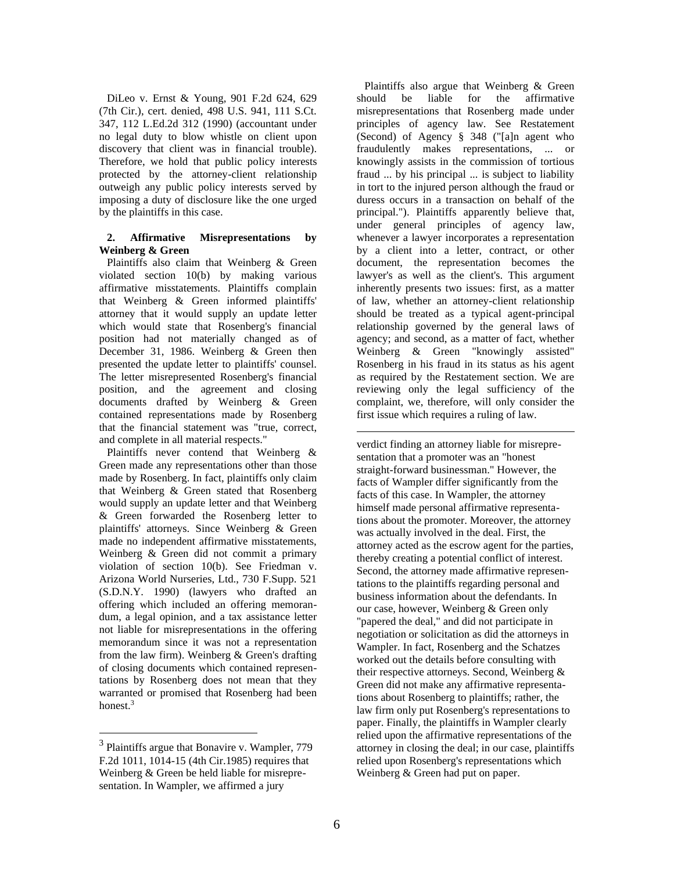DiLeo v. Ernst & Young, 901 F.2d 624, 629 (7th Cir.), cert. denied, 498 U.S. 941, 111 S.Ct. 347, 112 L.Ed.2d 312 (1990) (accountant under no legal duty to blow whistle on client upon discovery that client was in financial trouble). Therefore, we hold that public policy interests protected by the attorney-client relationship outweigh any public policy interests served by imposing a duty of disclosure like the one urged by the plaintiffs in this case.

### **2. Affirmative Misrepresentations by Weinberg & Green**

Plaintiffs also claim that Weinberg & Green violated section 10(b) by making various affirmative misstatements. Plaintiffs complain that Weinberg & Green informed plaintiffs' attorney that it would supply an update letter which would state that Rosenberg's financial position had not materially changed as of December 31, 1986. Weinberg & Green then presented the update letter to plaintiffs' counsel. The letter misrepresented Rosenberg's financial position, and the agreement and closing documents drafted by Weinberg & Green contained representations made by Rosenberg that the financial statement was "true, correct, and complete in all material respects."

Plaintiffs never contend that Weinberg & Green made any representations other than those made by Rosenberg. In fact, plaintiffs only claim that Weinberg & Green stated that Rosenberg would supply an update letter and that Weinberg & Green forwarded the Rosenberg letter to plaintiffs' attorneys. Since Weinberg & Green made no independent affirmative misstatements, Weinberg & Green did not commit a primary violation of section 10(b). See Friedman v. Arizona World Nurseries, Ltd., 730 F.Supp. 521 (S.D.N.Y. 1990) (lawyers who drafted an offering which included an offering memorandum, a legal opinion, and a tax assistance letter not liable for misrepresentations in the offering memorandum since it was not a representation from the law firm). Weinberg & Green's drafting of closing documents which contained representations by Rosenberg does not mean that they warranted or promised that Rosenberg had been honest.<sup>3</sup>

Plaintiffs also argue that Weinberg & Green should be liable for the affirmative misrepresentations that Rosenberg made under principles of agency law. See Restatement (Second) of Agency § 348 ("[a]n agent who fraudulently makes representations, ... or knowingly assists in the commission of tortious fraud ... by his principal ... is subject to liability in tort to the injured person although the fraud or duress occurs in a transaction on behalf of the principal."). Plaintiffs apparently believe that, under general principles of agency law, whenever a lawyer incorporates a representation by a client into a letter, contract, or other document, the representation becomes the lawyer's as well as the client's. This argument inherently presents two issues: first, as a matter of law, whether an attorney-client relationship should be treated as a typical agent-principal relationship governed by the general laws of agency; and second, as a matter of fact, whether Weinberg & Green "knowingly assisted" Rosenberg in his fraud in its status as his agent as required by the Restatement section. We are reviewing only the legal sufficiency of the complaint, we, therefore, will only consider the first issue which requires a ruling of law.

verdict finding an attorney liable for misrepresentation that a promoter was an "honest straight-forward businessman." However, the facts of Wampler differ significantly from the facts of this case. In Wampler, the attorney himself made personal affirmative representations about the promoter. Moreover, the attorney was actually involved in the deal. First, the attorney acted as the escrow agent for the parties, thereby creating a potential conflict of interest. Second, the attorney made affirmative representations to the plaintiffs regarding personal and business information about the defendants. In our case, however, Weinberg & Green only "papered the deal," and did not participate in negotiation or solicitation as did the attorneys in Wampler. In fact, Rosenberg and the Schatzes worked out the details before consulting with their respective attorneys. Second, Weinberg & Green did not make any affirmative representations about Rosenberg to plaintiffs; rather, the law firm only put Rosenberg's representations to paper. Finally, the plaintiffs in Wampler clearly relied upon the affirmative representations of the attorney in closing the deal; in our case, plaintiffs relied upon Rosenberg's representations which Weinberg & Green had put on paper.

<sup>&</sup>lt;sup>3</sup> Plaintiffs argue that Bonavire v. Wampler, 779 F.2d 1011, 1014-15 (4th Cir.1985) requires that Weinberg & Green be held liable for misrepresentation. In Wampler, we affirmed a jury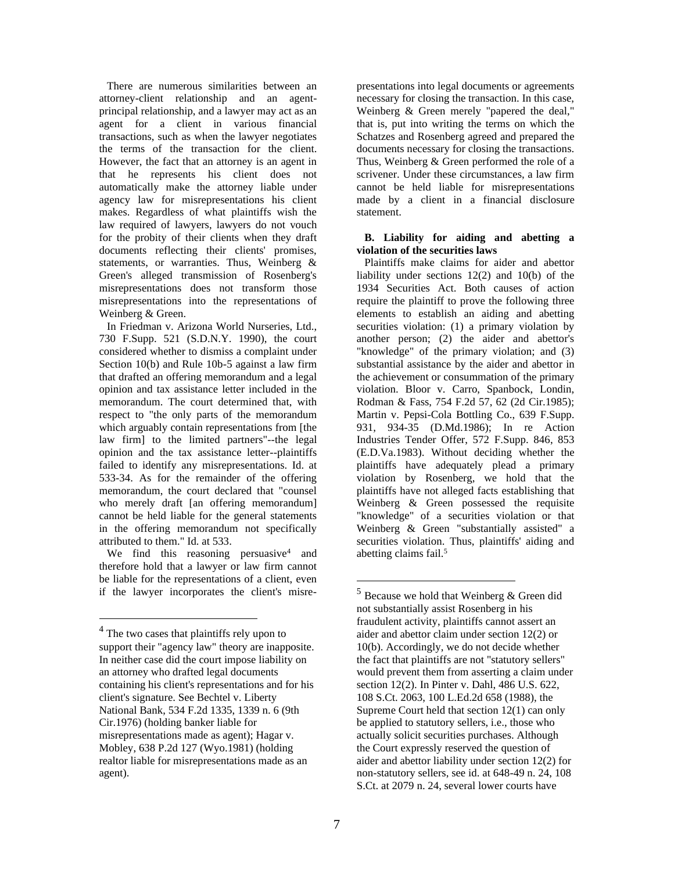There are numerous similarities between an attorney-client relationship and an agentprincipal relationship, and a lawyer may act as an agent for a client in various financial transactions, such as when the lawyer negotiates the terms of the transaction for the client. However, the fact that an attorney is an agent in that he represents his client does not automatically make the attorney liable under agency law for misrepresentations his client makes. Regardless of what plaintiffs wish the law required of lawyers, lawyers do not vouch for the probity of their clients when they draft documents reflecting their clients' promises, statements, or warranties. Thus, Weinberg & Green's alleged transmission of Rosenberg's misrepresentations does not transform those misrepresentations into the representations of Weinberg & Green.

In Friedman v. Arizona World Nurseries, Ltd., 730 F.Supp. 521 (S.D.N.Y. 1990), the court considered whether to dismiss a complaint under Section 10(b) and Rule 10b-5 against a law firm that drafted an offering memorandum and a legal opinion and tax assistance letter included in the memorandum. The court determined that, with respect to "the only parts of the memorandum which arguably contain representations from [the law firm] to the limited partners"--the legal opinion and the tax assistance letter--plaintiffs failed to identify any misrepresentations. Id. at 533-34. As for the remainder of the offering memorandum, the court declared that "counsel who merely draft [an offering memorandum] cannot be held liable for the general statements in the offering memorandum not specifically attributed to them." Id. at 533.

We find this reasoning persuasive $4$  and therefore hold that a lawyer or law firm cannot be liable for the representations of a client, even if the lawyer incorporates the client's misrepresentations into legal documents or agreements necessary for closing the transaction. In this case, Weinberg & Green merely "papered the deal," that is, put into writing the terms on which the Schatzes and Rosenberg agreed and prepared the documents necessary for closing the transactions. Thus, Weinberg & Green performed the role of a scrivener. Under these circumstances, a law firm cannot be held liable for misrepresentations made by a client in a financial disclosure statement.

### **B. Liability for aiding and abetting a violation of the securities laws**

Plaintiffs make claims for aider and abettor liability under sections 12(2) and 10(b) of the 1934 Securities Act. Both causes of action require the plaintiff to prove the following three elements to establish an aiding and abetting securities violation: (1) a primary violation by another person; (2) the aider and abettor's "knowledge" of the primary violation; and (3) substantial assistance by the aider and abettor in the achievement or consummation of the primary violation. Bloor v. Carro, Spanbock, Londin, Rodman & Fass, 754 F.2d 57, 62 (2d Cir.1985); Martin v. Pepsi-Cola Bottling Co., 639 F.Supp. 931, 934-35 (D.Md.1986); In re Action Industries Tender Offer, 572 F.Supp. 846, 853 (E.D.Va.1983). Without deciding whether the plaintiffs have adequately plead a primary violation by Rosenberg, we hold that the plaintiffs have not alleged facts establishing that Weinberg & Green possessed the requisite "knowledge" of a securities violation or that Weinberg & Green "substantially assisted" a securities violation. Thus, plaintiffs' aiding and abetting claims fail.<sup>5</sup>

<sup>&</sup>lt;sup>4</sup> The two cases that plaintiffs rely upon to support their "agency law" theory are inapposite. In neither case did the court impose liability on an attorney who drafted legal documents containing his client's representations and for his client's signature. See Bechtel v. Liberty National Bank, 534 F.2d 1335, 1339 n. 6 (9th Cir.1976) (holding banker liable for misrepresentations made as agent); Hagar v. Mobley, 638 P.2d 127 (Wyo.1981) (holding realtor liable for misrepresentations made as an agent).

 $<sup>5</sup>$  Because we hold that Weinberg & Green did</sup> not substantially assist Rosenberg in his fraudulent activity, plaintiffs cannot assert an aider and abettor claim under section 12(2) or 10(b). Accordingly, we do not decide whether the fact that plaintiffs are not "statutory sellers" would prevent them from asserting a claim under section 12(2). In Pinter v. Dahl, 486 U.S. 622, 108 S.Ct. 2063, 100 L.Ed.2d 658 (1988), the Supreme Court held that section 12(1) can only be applied to statutory sellers, i.e., those who actually solicit securities purchases. Although the Court expressly reserved the question of aider and abettor liability under section 12(2) for non-statutory sellers, see id. at 648-49 n. 24, 108 S.Ct. at 2079 n. 24, several lower courts have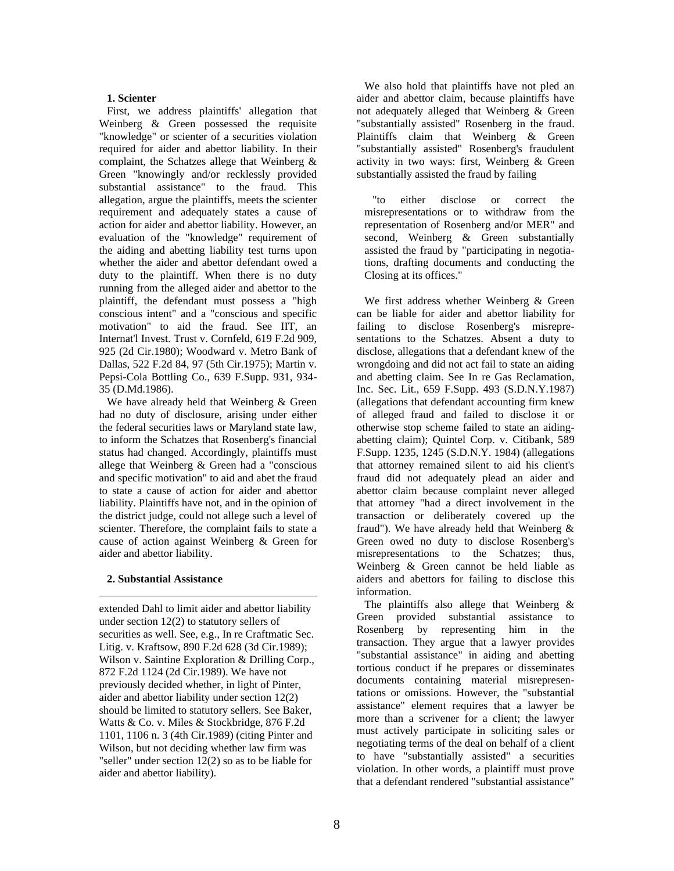### **1. Scienter**

First, we address plaintiffs' allegation that Weinberg & Green possessed the requisite "knowledge" or scienter of a securities violation required for aider and abettor liability. In their complaint, the Schatzes allege that Weinberg & Green "knowingly and/or recklessly provided substantial assistance" to the fraud. This allegation, argue the plaintiffs, meets the scienter requirement and adequately states a cause of action for aider and abettor liability. However, an evaluation of the "knowledge" requirement of the aiding and abetting liability test turns upon whether the aider and abettor defendant owed a duty to the plaintiff. When there is no duty running from the alleged aider and abettor to the plaintiff, the defendant must possess a "high conscious intent" and a "conscious and specific motivation" to aid the fraud. See IIT, an Internat'l Invest. Trust v. Cornfeld, 619 F.2d 909, 925 (2d Cir.1980); Woodward v. Metro Bank of Dallas, 522 F.2d 84, 97 (5th Cir.1975); Martin v. Pepsi-Cola Bottling Co., 639 F.Supp. 931, 934- 35 (D.Md.1986).

We have already held that Weinberg & Green had no duty of disclosure, arising under either the federal securities laws or Maryland state law, to inform the Schatzes that Rosenberg's financial status had changed. Accordingly, plaintiffs must allege that Weinberg & Green had a "conscious and specific motivation" to aid and abet the fraud to state a cause of action for aider and abettor liability. Plaintiffs have not, and in the opinion of the district judge, could not allege such a level of scienter. Therefore, the complaint fails to state a cause of action against Weinberg & Green for aider and abettor liability.

### **2. Substantial Assistance**

extended Dahl to limit aider and abettor liability under section 12(2) to statutory sellers of securities as well. See, e.g., In re Craftmatic Sec. Litig. v. Kraftsow, 890 F.2d 628 (3d Cir.1989); Wilson v. Saintine Exploration & Drilling Corp., 872 F.2d 1124 (2d Cir.1989). We have not previously decided whether, in light of Pinter, aider and abettor liability under section 12(2) should be limited to statutory sellers. See Baker, Watts & Co. v. Miles & Stockbridge, 876 F.2d 1101, 1106 n. 3 (4th Cir.1989) (citing Pinter and Wilson, but not deciding whether law firm was "seller" under section 12(2) so as to be liable for aider and abettor liability).

We also hold that plaintiffs have not pled an aider and abettor claim, because plaintiffs have not adequately alleged that Weinberg & Green "substantially assisted" Rosenberg in the fraud. Plaintiffs claim that Weinberg & Green "substantially assisted" Rosenberg's fraudulent activity in two ways: first, Weinberg & Green substantially assisted the fraud by failing

"to either disclose or correct the misrepresentations or to withdraw from the representation of Rosenberg and/or MER" and second, Weinberg & Green substantially assisted the fraud by "participating in negotiations, drafting documents and conducting the Closing at its offices."

We first address whether Weinberg & Green can be liable for aider and abettor liability for failing to disclose Rosenberg's misrepresentations to the Schatzes. Absent a duty to disclose, allegations that a defendant knew of the wrongdoing and did not act fail to state an aiding and abetting claim. See In re Gas Reclamation, Inc. Sec. Lit., 659 F.Supp. 493 (S.D.N.Y.1987) (allegations that defendant accounting firm knew of alleged fraud and failed to disclose it or otherwise stop scheme failed to state an aidingabetting claim); Quintel Corp. v. Citibank, 589 F.Supp. 1235, 1245 (S.D.N.Y. 1984) (allegations that attorney remained silent to aid his client's fraud did not adequately plead an aider and abettor claim because complaint never alleged that attorney "had a direct involvement in the transaction or deliberately covered up the fraud"). We have already held that Weinberg & Green owed no duty to disclose Rosenberg's misrepresentations to the Schatzes; thus, Weinberg & Green cannot be held liable as aiders and abettors for failing to disclose this information.

The plaintiffs also allege that Weinberg & Green provided substantial assistance to Rosenberg by representing him in the transaction. They argue that a lawyer provides "substantial assistance" in aiding and abetting tortious conduct if he prepares or disseminates documents containing material misrepresentations or omissions. However, the "substantial assistance" element requires that a lawyer be more than a scrivener for a client; the lawyer must actively participate in soliciting sales or negotiating terms of the deal on behalf of a client to have "substantially assisted" a securities violation. In other words, a plaintiff must prove that a defendant rendered "substantial assistance"